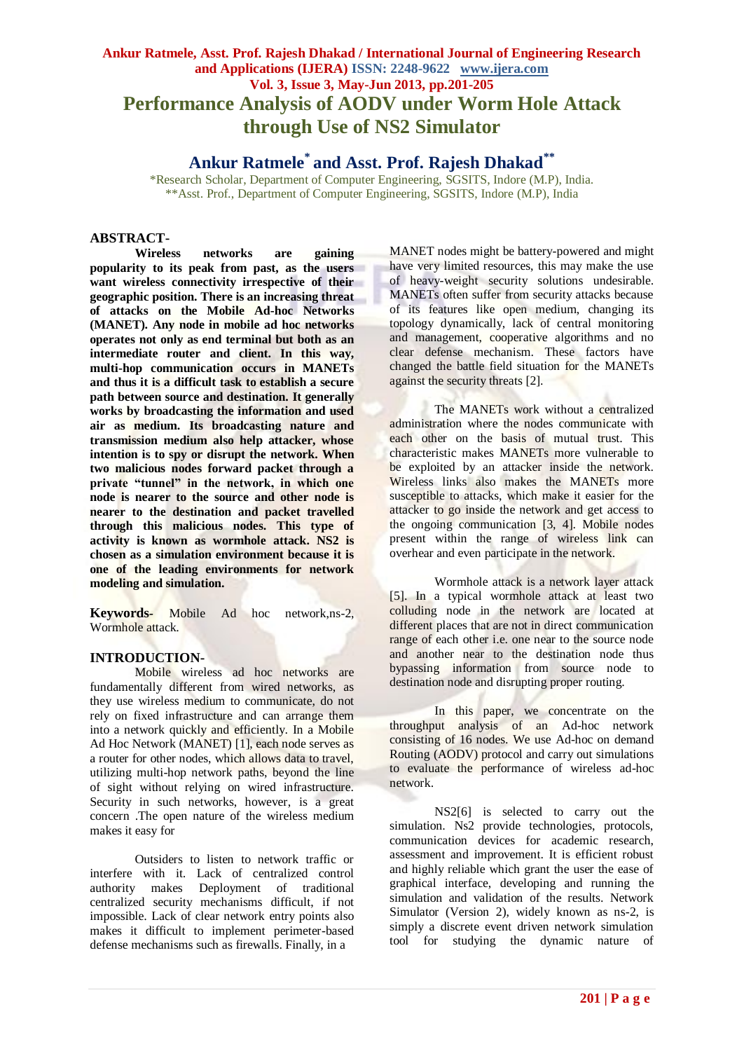# **Ankur Ratmele, Asst. Prof. Rajesh Dhakad / International Journal of Engineering Research and Applications (IJERA) ISSN: 2248-9622 www.ijera.com Vol. 3, Issue 3, May-Jun 2013, pp.201-205 Performance Analysis of AODV under Worm Hole Attack through Use of NS2 Simulator**

# **Ankur Ratmele\* and Asst. Prof. Rajesh Dhakad\*\***

\*Research Scholar, Department of Computer Engineering, SGSITS, Indore (M.P), India. \*\*Asst. Prof., Department of Computer Engineering, SGSITS, Indore (M.P), India

### **ABSTRACT-**

**Wireless networks are gaining popularity to its peak from past, as the users want wireless connectivity irrespective of their geographic position. There is an increasing threat of attacks on the Mobile Ad-hoc Networks (MANET). Any node in mobile ad hoc networks operates not only as end terminal but both as an intermediate router and client. In this way, multi-hop communication occurs in MANETs and thus it is a difficult task to establish a secure path between source and destination. It generally works by broadcasting the information and used air as medium. Its broadcasting nature and transmission medium also help attacker, whose intention is to spy or disrupt the network. When two malicious nodes forward packet through a private "tunnel" in the network, in which one node is nearer to the source and other node is nearer to the destination and packet travelled through this malicious nodes. This type of activity is known as wormhole attack. NS2 is chosen as a simulation environment because it is one of the leading environments for network modeling and simulation.**

**Keywords***-* Mobile Ad hoc network,ns-2, Wormhole attack.

### **INTRODUCTION-**

Mobile wireless ad hoc networks are fundamentally different from wired networks, as they use wireless medium to communicate, do not rely on fixed infrastructure and can arrange them into a network quickly and efficiently. In a Mobile Ad Hoc Network (MANET) [1], each node serves as a router for other nodes, which allows data to travel, utilizing multi-hop network paths, beyond the line of sight without relying on wired infrastructure. Security in such networks, however, is a great concern .The open nature of the wireless medium makes it easy for

Outsiders to listen to network traffic or interfere with it. Lack of centralized control authority makes Deployment of traditional centralized security mechanisms difficult, if not impossible. Lack of clear network entry points also makes it difficult to implement perimeter-based defense mechanisms such as firewalls. Finally, in a

MANET nodes might be battery-powered and might have very limited resources, this may make the use of heavy-weight security solutions undesirable. MANETs often suffer from security attacks because of its features like open medium, changing its topology dynamically, lack of central monitoring and management, cooperative algorithms and no clear defense mechanism. These factors have changed the battle field situation for the MANETs against the security threats [2].

The MANETs work without a centralized administration where the nodes communicate with each other on the basis of mutual trust. This characteristic makes MANETs more vulnerable to be exploited by an attacker inside the network. Wireless links also makes the MANETs more susceptible to attacks, which make it easier for the attacker to go inside the network and get access to the ongoing communication [3, 4]. Mobile nodes present within the range of wireless link can overhear and even participate in the network.

Wormhole attack is a network layer attack [5]. In a typical wormhole attack at least two colluding node in the network are located at different places that are not in direct communication range of each other i.e. one near to the source node and another near to the destination node thus bypassing information from source node to destination node and disrupting proper routing.

In this paper, we concentrate on the throughput analysis of an Ad-hoc network consisting of 16 nodes. We use Ad-hoc on demand Routing (AODV) protocol and carry out simulations to evaluate the performance of wireless ad-hoc network.

NS2[6] is selected to carry out the simulation. Ns2 provide technologies, protocols, communication devices for academic research, assessment and improvement. It is efficient robust and highly reliable which grant the user the ease of graphical interface, developing and running the simulation and validation of the results. Network Simulator (Version 2), widely known as ns-2, is simply a discrete event driven network simulation tool for studying the dynamic nature of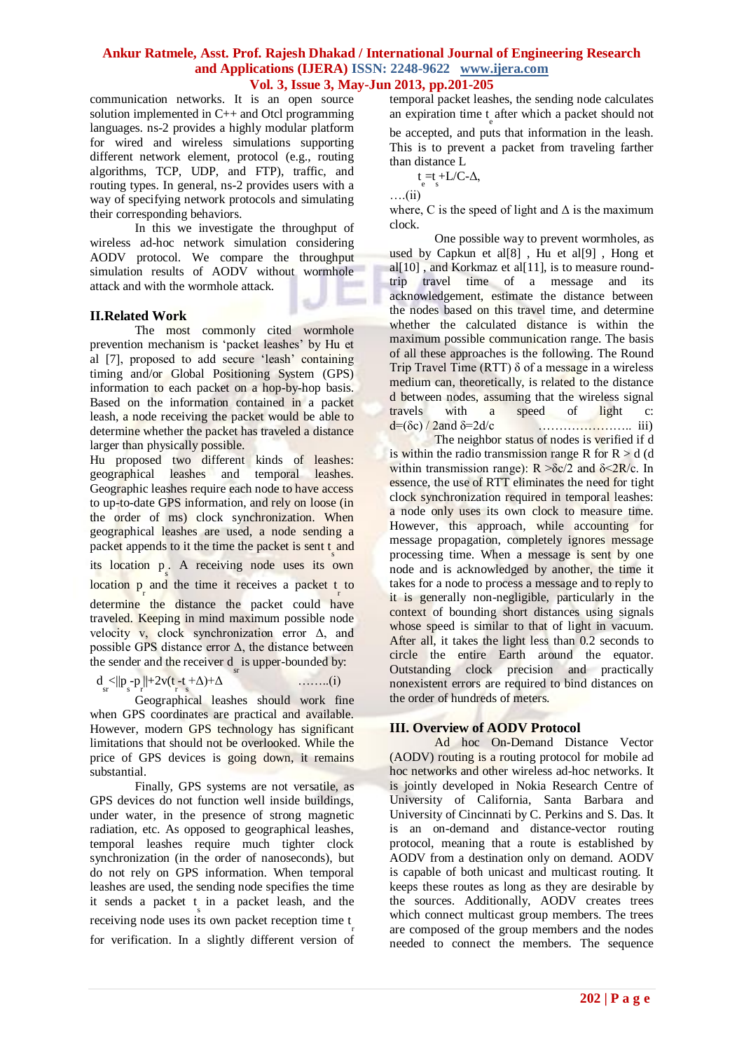communication networks. It is an open source solution implemented in C++ and Otcl programming languages. ns-2 provides a highly modular platform for wired and wireless simulations supporting different network element, protocol (e.g., routing algorithms, TCP, UDP, and FTP), traffic, and routing types. In general, ns-2 provides users with a way of specifying network protocols and simulating their corresponding behaviors.

In this we investigate the throughput of wireless ad-hoc network simulation considering AODV protocol. We compare the throughput simulation results of AODV without wormhole attack and with the wormhole attack.

# **II.Related Work**

The most commonly cited wormhole prevention mechanism is "packet leashes" by Hu et al [7], proposed to add secure "leash" containing timing and/or Global Positioning System (GPS) information to each packet on a hop-by-hop basis. Based on the information contained in a packet leash, a node receiving the packet would be able to determine whether the packet has traveled a distance larger than physically possible.

Hu proposed two different kinds of leashes: geographical leashes and temporal leashes. Geographic leashes require each node to have access to up-to-date GPS information, and rely on loose (in the order of ms) clock synchronization. When geographical leashes are used, a node sending a packet appends to it the time the packet is sent t<sub>s</sub> and its location p s . A receiving node uses its own location  $p_r$  and the time it receives a packet  $t_r$  to determine the distance the packet could have traveled. Keeping in mind maximum possible node velocity v, clock synchronization error  $\Delta$ , and

the sender and the receiver d<sub>sr</sub> is upper-bounded by:  
\n
$$
d_s < ||p_s - p_r|| + 2v(t - t + \Delta) + \Delta
$$
 .........(i)

possible GPS distance error  $\Delta$ , the distance between

Geographical leashes should work fine when GPS coordinates are practical and available. However, modern GPS technology has significant limitations that should not be overlooked. While the price of GPS devices is going down, it remains substantial.

Finally, GPS systems are not versatile, as GPS devices do not function well inside buildings, under water, in the presence of strong magnetic radiation, etc. As opposed to geographical leashes, temporal leashes require much tighter clock synchronization (in the order of nanoseconds), but do not rely on GPS information. When temporal leashes are used, the sending node specifies the time it sends a packet  $\frac{1}{s}$  in a packet leash, and the receiving node uses its own packet reception time  $\frac{t}{r}$ for verification. In a slightly different version of temporal packet leashes, the sending node calculates an expiration time  $t_{\text{e}}$  after which a packet should not

be accepted, and puts that information in the leash. This is to prevent a packet from traveling farther than distance L

$$
t\underset{e}{=}t\underset{s}{+}L/C\text{-}\Delta,
$$

….(ii)

where, C is the speed of light and  $\Delta$  is the maximum clock.

One possible way to prevent wormholes, as used by Capkun et al[8] , Hu et al[9] , Hong et al $[10]$ , and Korkmaz et al $[11]$ , is to measure roundtrip travel time of a message and its acknowledgement, estimate the distance between the nodes based on this travel time, and determine whether the calculated distance is within the maximum possible communication range. The basis of all these approaches is the following. The Round Trip Travel Time (RTT)  $\delta$  of a message in a wireless medium can, theoretically, is related to the distance d between nodes, assuming that the wireless signal travels with a speed of light c: d=(δc) / 2and δ=2d/c ………………….. iii)

The neighbor status of nodes is verified if d is within the radio transmission range R for  $R > d$  (d within transmission range):  $R > \delta c/2$  and  $\delta < 2R/c$ . In essence, the use of RTT eliminates the need for tight clock synchronization required in temporal leashes: a node only uses its own clock to measure time. However, this approach, while accounting for message propagation, completely ignores message processing time. When a message is sent by one node and is acknowledged by another, the time it takes for a node to process a message and to reply to it is generally non-negligible, particularly in the context of bounding short distances using signals whose speed is similar to that of light in vacuum. After all, it takes the light less than 0.2 seconds to circle the entire Earth around the equator. Outstanding clock precision and practically nonexistent errors are required to bind distances on the order of hundreds of meters.

# **III. Overview of AODV Protocol**

Ad hoc On-Demand Distance Vector (AODV) routing is a routing protocol for mobile ad hoc networks and other wireless ad-hoc networks. It is jointly developed in Nokia Research Centre of University of California, Santa Barbara and University of Cincinnati by C. Perkins and S. Das. It is an on-demand and distance-vector routing protocol, meaning that a route is established by AODV from a destination only on demand. AODV is capable of both unicast and multicast routing. It keeps these routes as long as they are desirable by the sources. Additionally, AODV creates trees which connect multicast group members. The trees are composed of the group members and the nodes needed to connect the members. The sequence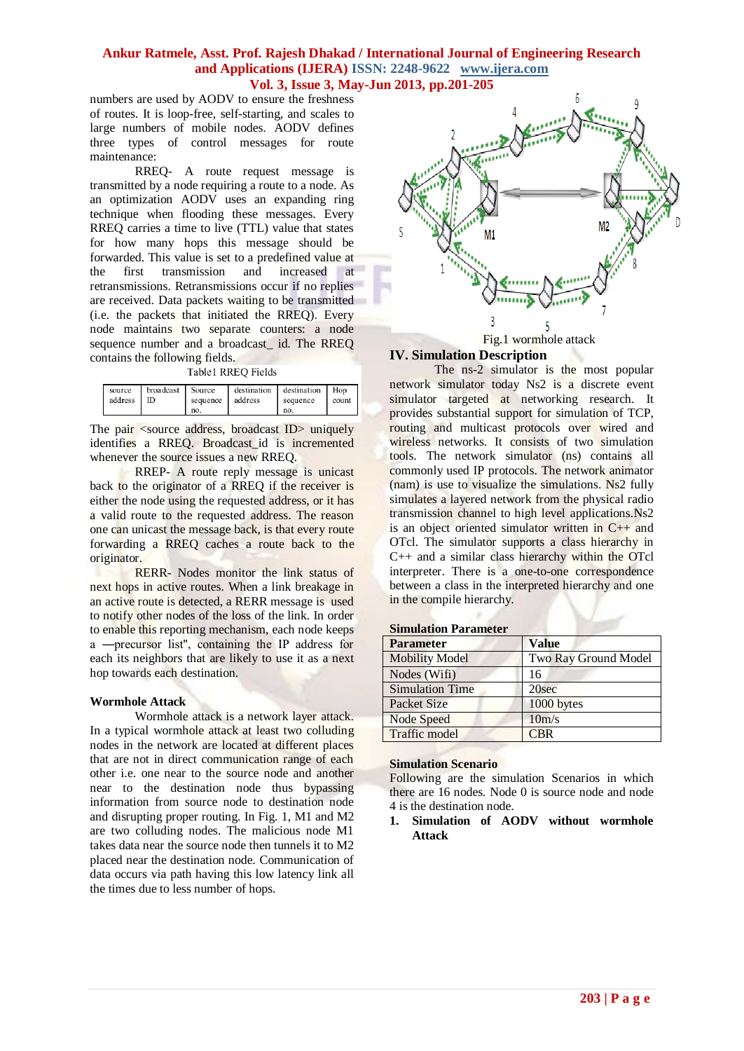numbers are used by AODV to ensure the freshness of routes. It is loop-free, self-starting, and scales to large numbers of mobile nodes. AODV defines three types of control messages for route maintenance:

RREQ- A route request message is transmitted by a node requiring a route to a node. As an optimization AODV uses an expanding ring technique when flooding these messages. Every RREQ carries a time to live (TTL) value that states for how many hops this message should be forwarded. This value is set to a predefined value at the first transmission and increased at retransmissions. Retransmissions occur if no replies are received. Data packets waiting to be transmitted (i.e. the packets that initiated the RREQ). Every node maintains two separate counters: a node sequence number and a broadcast\_ id. The RREQ contains the following fields.

Table1 RREQ Fields

| broadcast Source<br>source<br>address   ID | sequence address<br>no. |  | destination destination Hop<br>sequence<br>no. | count 1 |
|--------------------------------------------|-------------------------|--|------------------------------------------------|---------|
|--------------------------------------------|-------------------------|--|------------------------------------------------|---------|

The pair <source address, broadcast ID > uniquely identifies a RREQ. Broadcast\_id is incremented whenever the source issues a new RREQ.

RREP- A route reply message is unicast back to the originator of a RREQ if the receiver is either the node using the requested address, or it has a valid route to the requested address. The reason one can unicast the message back, is that every route forwarding a RREQ caches a route back to the originator.

RERR- Nodes monitor the link status of next hops in active routes. When a link breakage in an active route is detected, a RERR message is used to notify other nodes of the loss of the link. In order to enable this reporting mechanism, each node keeps a ―precursor list'', containing the IP address for each its neighbors that are likely to use it as a next hop towards each destination.

### **Wormhole Attack**

Wormhole attack is a network layer attack. In a typical wormhole attack at least two colluding nodes in the network are located at different places that are not in direct communication range of each other i.e. one near to the source node and another near to the destination node thus bypassing information from source node to destination node and disrupting proper routing. In Fig. 1, M1 and M2 are two colluding nodes. The malicious node M1 takes data near the source node then tunnels it to M2 placed near the destination node. Communication of data occurs via path having this low latency link all the times due to less number of hops.



Fig.1 wormhole attack

# **IV. Simulation Description**

The ns-2 simulator is the most popular network simulator today Ns2 is a discrete event simulator targeted at networking research. It provides substantial support for simulation of TCP, routing and multicast protocols over wired and wireless networks. It consists of two simulation tools. The network simulator (ns) contains all commonly used IP protocols. The network animator (nam) is use to visualize the simulations. Ns2 fully simulates a layered network from the physical radio transmission channel to high level applications.Ns2 is an object oriented simulator written in C++ and OTcl. The simulator supports a class hierarchy in C++ and a similar class hierarchy within the OTcl interpreter. There is a one-to-one correspondence between a class in the interpreted hierarchy and one in the compile hierarchy.

#### **Simulation Parameter**

| <b>Parameter</b>       | <b>Value</b>         |
|------------------------|----------------------|
| <b>Mobility Model</b>  | Two Ray Ground Model |
| Nodes (Wifi)           | 16                   |
| <b>Simulation Time</b> | 20sec                |
| <b>Packet Size</b>     | 1000 bytes           |
| Node Speed             | 10m/s                |
| Traffic model          | <b>CBR</b>           |

### **Simulation Scenario**

Following are the simulation Scenarios in which there are 16 nodes. Node 0 is source node and node 4 is the destination node.

**1. Simulation of AODV without wormhole Attack**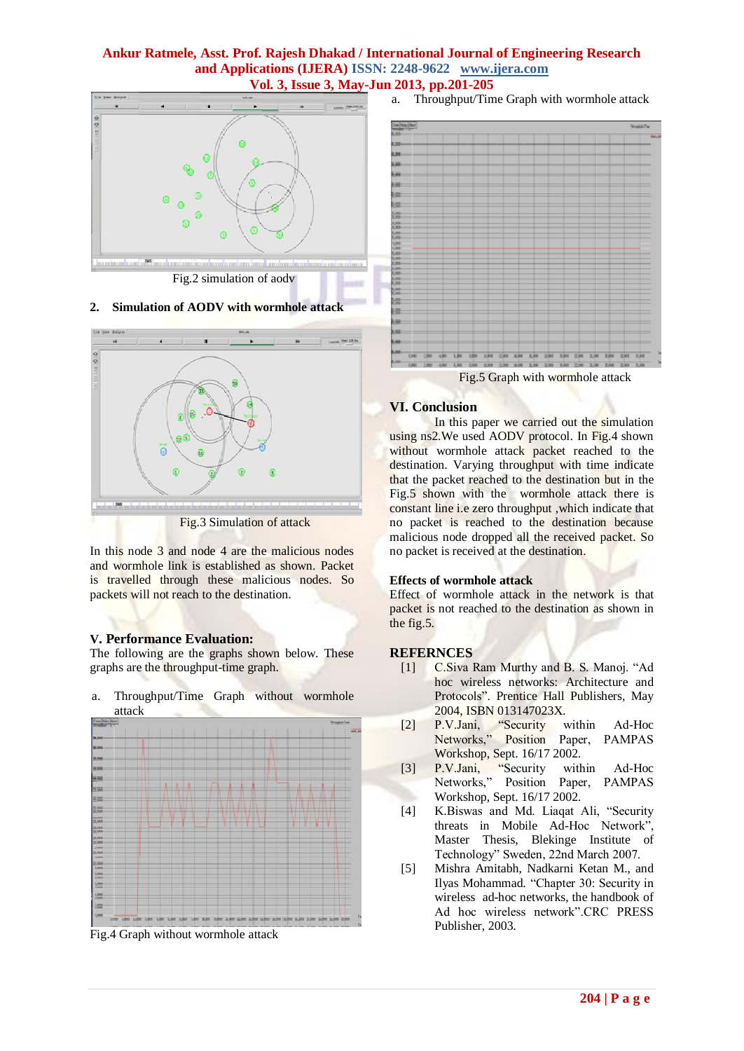

# **2. Simulation of AODV with wormhole attack**



Fig.3 Simulation of attack

In this node 3 and node 4 are the malicious nodes and wormhole link is established as shown. Packet is travelled through these malicious nodes. So packets will not reach to the destination.

### **V. Performance Evaluation:**

The following are the graphs shown below. These graphs are the throughput-time graph.

a. Throughput/Time Graph without wormhole attack



Fig.4 Graph without wormhole attack

a. Throughput/Time Graph with wormhole attack



Fig.5 Graph with wormhole attack

# **VI. Conclusion**

In this paper we carried out the simulation using ns2. We used AODV protocol. In Fig.4 shown without wormhole attack packet reached to the destination. Varying throughput with time indicate that the packet reached to the destination but in the Fig.5 shown with the wormhole attack there is constant line i.e zero throughput ,which indicate that no packet is reached to the destination because malicious node dropped all the received packet. So no packet is received at the destination.

# **Effects of wormhole attack**

Effect of wormhole attack in the network is that packet is not reached to the destination as shown in the fig.5.

# **REFERNCES**

- [1] C.Siva Ram Murthy and B. S. Manoj. "Ad hoc wireless networks: Architecture and Protocols". Prentice Hall Publishers, May 2004, ISBN 013147023X.
- [2] P.V.Jani, "Security within Ad-Hoc Networks," Position Paper, PAMPAS Workshop, Sept. 16/17 2002.
- [3] P.V.Jani, "Security within Ad-Hoc Networks," Position Paper, PAMPAS Workshop, Sept. 16/17 2002.
- [4] K.Biswas and Md. Liaqat Ali, "Security threats in Mobile Ad-Hoc Network", Master Thesis, Blekinge Institute of Technology" Sweden, 22nd March 2007.
- [5] Mishra Amitabh, Nadkarni Ketan M., and Ilyas Mohammad. "Chapter 30: Security in wireless ad-hoc networks, the handbook of Ad hoc wireless network".CRC PRESS Publisher, 2003.